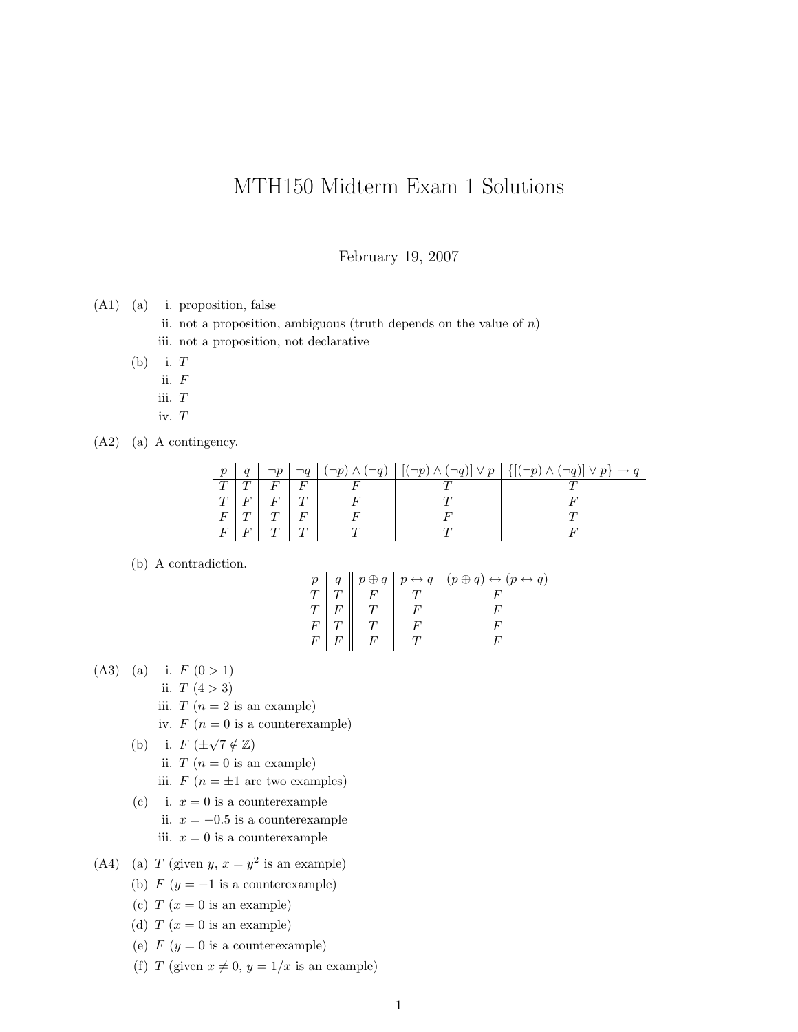## MTH150 Midterm Exam 1 Solutions

February 19, 2007

(A1) (a) i. proposition, false

ii. not a proposition, ambiguous (truth depends on the value of  $n$ )

- iii. not a proposition, not declarative
- $(b)$  i.  $T$ 
	- ii. F
	- iii. T
	- iv. T
- (A2) (a) A contingency.

|                 |                               |  | $q \parallel \neg p \mid \neg q \mid (\neg p) \wedge (\neg q) \mid [(\neg p) \wedge (\neg q)] \vee p \mid \{ [(\neg p) \wedge (\neg q)] \vee p \} \rightarrow q$ |
|-----------------|-------------------------------|--|------------------------------------------------------------------------------------------------------------------------------------------------------------------|
|                 |                               |  |                                                                                                                                                                  |
| $T \mid F \mid$ |                               |  |                                                                                                                                                                  |
| $F \mid T$      |                               |  |                                                                                                                                                                  |
|                 | $F \mid F \parallel T \mid T$ |  |                                                                                                                                                                  |

## (b) A contradiction.

| $p_{-}$     |             |   | $q \parallel p \oplus q \parallel p \leftrightarrow q \parallel (p \oplus q) \leftrightarrow (p \leftrightarrow q)$ |
|-------------|-------------|---|---------------------------------------------------------------------------------------------------------------------|
|             |             |   |                                                                                                                     |
|             |             |   |                                                                                                                     |
| $F_{\cdot}$ |             |   |                                                                                                                     |
| $F^-$       | $\perp F$ . | F |                                                                                                                     |

- (A3) (a) i.  $F(0>1)$ 
	- ii.  $T(4 > 3)$
	- iii.  $T (n = 2$  is an example)
	- iv.  $F(n=0$  is a counterexample)
	- (b) i.  $F$  ( $\pm$  $\sqrt{7} \notin \mathbb{Z}$ ii.  $T (n = 0$  is an example) iii.  $F(n = \pm 1$  are two examples)
	- (c) i.  $x = 0$  is a counterexample ii.  $x = -0.5$  is a counterexample iii.  $x = 0$  is a counterexample
- (A4) (a) T (given  $y, x = y^2$  is an example)
	- (b)  $F(y = -1$  is a counterexample)
	- (c)  $T(x=0$  is an example)
	- (d)  $T(x=0$  is an example)
	- (e)  $F(y=0$  is a counterexample)
	- (f) T (given  $x \neq 0$ ,  $y = 1/x$  is an example)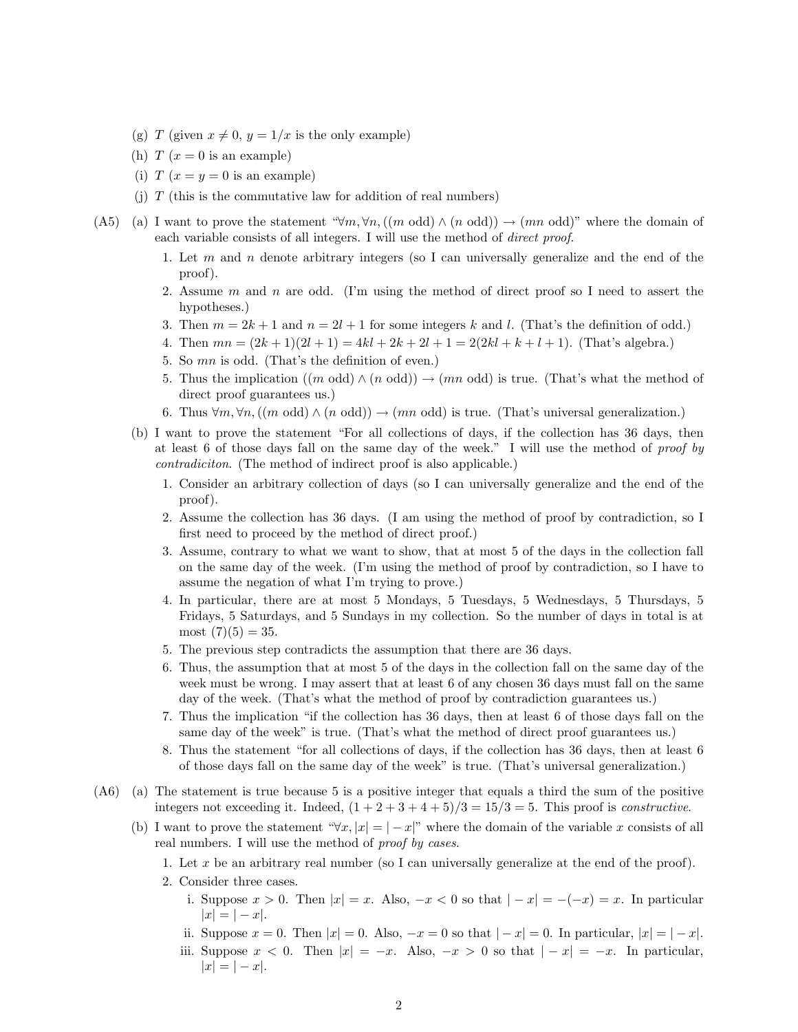- (g) T (given  $x \neq 0$ ,  $y = 1/x$  is the only example)
- (h)  $T (x = 0$  is an example)
- (i)  $T (x = y = 0$  is an example)
- (i)  $T$  (this is the commutative law for addition of real numbers)
- (A5) (a) I want to prove the statement " $\forall m, \forall n, ((m \text{ odd}) \land (n \text{ odd})) \rightarrow (mn \text{ odd})$ " where the domain of each variable consists of all integers. I will use the method of direct proof.
	- 1. Let  $m$  and  $n$  denote arbitrary integers (so I can universally generalize and the end of the proof).
	- 2. Assume m and n are odd. (I'm using the method of direct proof so I need to assert the hypotheses.)
	- 3. Then  $m = 2k + 1$  and  $n = 2l + 1$  for some integers k and l. (That's the definition of odd.)
	- 4. Then  $mn = (2k+1)(2l+1) = 4kl+2k+2l+1 = 2(2kl+k+l+1)$ . (That's algebra.)
	- 5. So mn is odd. (That's the definition of even.)
	- 5. Thus the implication  $((m \text{ odd}) \wedge (n \text{ odd})) \rightarrow (mn \text{ odd})$  is true. (That's what the method of direct proof guarantees us.)
	- 6. Thus  $\forall m, \forall n, ((m \text{ odd}) \land (n \text{ odd})) \rightarrow (mn \text{ odd})$  is true. (That's universal generalization.)
	- (b) I want to prove the statement "For all collections of days, if the collection has 36 days, then at least 6 of those days fall on the same day of the week." I will use the method of proof by contradiciton. (The method of indirect proof is also applicable.)
		- 1. Consider an arbitrary collection of days (so I can universally generalize and the end of the proof).
		- 2. Assume the collection has 36 days. (I am using the method of proof by contradiction, so I first need to proceed by the method of direct proof.)
		- 3. Assume, contrary to what we want to show, that at most 5 of the days in the collection fall on the same day of the week. (I'm using the method of proof by contradiction, so I have to assume the negation of what I'm trying to prove.)
		- 4. In particular, there are at most 5 Mondays, 5 Tuesdays, 5 Wednesdays, 5 Thursdays, 5 Fridays, 5 Saturdays, and 5 Sundays in my collection. So the number of days in total is at most  $(7)(5) = 35$ .
		- 5. The previous step contradicts the assumption that there are 36 days.
		- 6. Thus, the assumption that at most 5 of the days in the collection fall on the same day of the week must be wrong. I may assert that at least 6 of any chosen 36 days must fall on the same day of the week. (That's what the method of proof by contradiction guarantees us.)
		- 7. Thus the implication "if the collection has 36 days, then at least 6 of those days fall on the same day of the week" is true. (That's what the method of direct proof guarantees us.)
		- 8. Thus the statement "for all collections of days, if the collection has 36 days, then at least 6 of those days fall on the same day of the week" is true. (That's universal generalization.)
- (A6) (a) The statement is true because 5 is a positive integer that equals a third the sum of the positive integers not exceeding it. Indeed,  $(1+2+3+4+5)/3 = 15/3 = 5$ . This proof is *constructive*.
	- (b) I want to prove the statement " $\forall x, |x| = |-x|$ " where the domain of the variable x consists of all real numbers. I will use the method of *proof by cases*.
		- 1. Let x be an arbitrary real number (so I can universally generalize at the end of the proof).
		- 2. Consider three cases.
			- i. Suppose  $x > 0$ . Then  $|x| = x$ . Also,  $-x < 0$  so that  $|-x| = -(-x) = x$ . In particular  $|x| = |-x|$ .
			- ii. Suppose  $x = 0$ . Then  $|x| = 0$ . Also,  $-x = 0$  so that  $|-x| = 0$ . In particular,  $|x| = |-x|$ .
			- iii. Suppose  $x < 0$ . Then  $|x| = -x$ . Also,  $-x > 0$  so that  $|-x| = -x$ . In particular,  $|x| = |-x|$ .